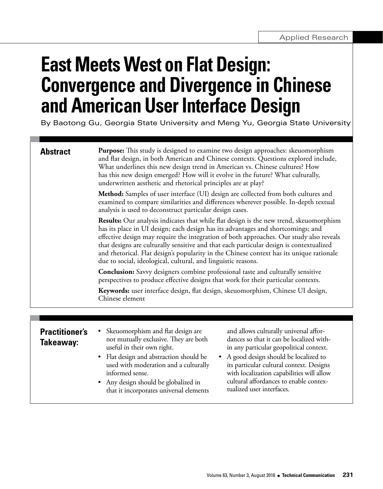# **East Meets West on Flat Design: Convergence and Divergence in Chinese and American User Interface Design**

By Baotong Gu, Georgia State University and Meng Yu, Georgia State University

| <b>Abstract</b>                    | <b>Purpose:</b> This study is designed to examine two design approaches: skeuomorphism<br>and flat design, in both American and Chinese contexts. Questions explored include,<br>What underlines this new design trend in American vs. Chinese cultures? How<br>has this new design emerged? How will it evolve in the future? What culturally,<br>underwritten aesthetic and rhetorical principles are at play?<br>Method: Samples of user interface (UI) design are collected from both cultures and                        |
|------------------------------------|-------------------------------------------------------------------------------------------------------------------------------------------------------------------------------------------------------------------------------------------------------------------------------------------------------------------------------------------------------------------------------------------------------------------------------------------------------------------------------------------------------------------------------|
|                                    | examined to compare similarities and differences wherever possible. In-depth textual<br>analysis is used to deconstruct particular design cases.                                                                                                                                                                                                                                                                                                                                                                              |
|                                    | Results: Our analysis indicates that while flat design is the new trend, skeuomorphism<br>has its place in UI design; each design has its advantages and shortcomings; and<br>effective design may require the integration of both approaches. Our study also reveals<br>that designs are culturally sensitive and that each particular design is contextualized<br>and rhetorical. Flat design's popularity in the Chinese context has its unique rationale<br>due to social, ideological, cultural, and linguistic reasons. |
|                                    | <b>Conclusion:</b> Savvy designers combine professional taste and culturally sensitive<br>perspectives to produce effective designs that work for their particular contexts.                                                                                                                                                                                                                                                                                                                                                  |
|                                    | Keywords: user interface design, flat design, skeuomorphism, Chinese UI design,<br>Chinese element                                                                                                                                                                                                                                                                                                                                                                                                                            |
|                                    |                                                                                                                                                                                                                                                                                                                                                                                                                                                                                                                               |
| <b>Practitioner's</b><br>Takeaway: | Skeuomorphism and flat design are<br>and allows culturally universal affor-<br>dances so that it can be localized with-<br>not mutually exclusive. They are both<br>useful in their own right.<br>in any particular geopolitical context.<br>Flat design and abstraction should be<br>A good design should be localized to<br>$\bullet$<br>$\bullet$<br>its particular cultural context. Designs<br>used with moderation and a culturally<br>with localization capabilities will allow<br>informed sense.                     |

• Any design should be globalized in that it incorporates universal elements cultural affordances to enable contex-

tualized user interfaces.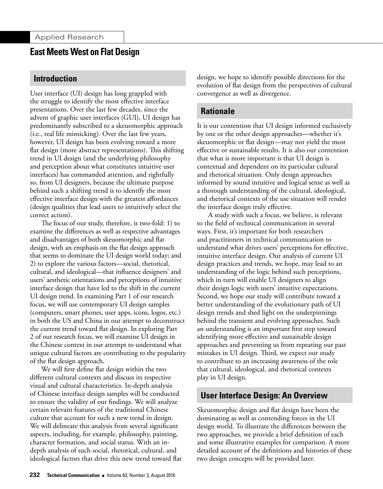## **Introduction**

User interface (UI) design has long grappled with the struggle to identify the most effective interface presentations. Over the last few decades, since the advent of graphic user interfaces (GUI), UI design has predominantly subscribed to a skeuomorphic approach (i.e., real life mimicking). Over the last few years, however, UI design has been evolving toward a more flat design (more abstract representations). This shifting trend in UI design (and the underlying philosophy and perception about what constitutes intuitive user interfaces) has commanded attention, and rightfully so, from UI designers, because the ultimate purpose behind such a shifting trend is to identify the most effective interface design with the greatest affordances (design qualities that lead users to intuitively select the correct action).

The focus of our study, therefore, is two-fold: 1) to examine the differences as well as respective advantages and disadvantages of both skeuomorphic and flat design, with an emphasis on the flat design approach that seems to dominate the UI design world today; and 2) to explore the various factors—social, rhetorical, cultural, and ideological—that influence designers' and users' aesthetic orientations and perceptions of intuitive interface design that have led to the shift in the current UI design trend. In examining Part 1 of our research focus, we will use contemporary UI design samples (computers, smart phones, user apps, icons, logos, etc.) in both the US and China in our attempt to deconstruct the current trend toward flat design. In exploring Part 2 of our research focus, we will examine UI design in the Chinese context in our attempt to understand what unique cultural factors are contributing to the popularity of the flat design approach.

We will first define flat design within the two different cultural contexts and discuss its respective visual and cultural characteristics. In-depth analysis of Chinese interface design samples will be conducted to ensure the validity of our findings. We will analyze certain relevant features of the traditional Chinese culture that account for such a new trend in design. We will delineate this analysis from several significant aspects, including, for example, philosophy, painting, character formation, and social status. With an indepth analysis of such social, rhetorical, cultural, and ideological factors that drive this new trend toward flat design, we hope to identify possible directions for the evolution of flat design from the perspectives of cultural convergence as well as divergence.

# **Rationale**

It is our contention that UI design informed exclusively by one or the other design approaches—whether it's skeuomorphic or flat design—may not yield the most effective or sustainable results. It is also our contention that what is more important is that UI design is contextual and dependent on its particular cultural and rhetorical situation. Only design approaches informed by sound intuitive and logical sense as well as a thorough understanding of the cultural, ideological, and rhetorical contexts of the use situation will render the interface design truly effective.

A study with such a focus, we believe, is relevant to the field of technical communication in several ways. First, it's important for both researchers and practitioners in technical communication to understand what drives users' perceptions for effective, intuitive interface design. Our analysis of current UI design practices and trends, we hope, may lead to an understanding of the logic behind such perceptions, which in turn will enable UI designers to align their design logic with users' intuitive expectations. Second, we hope our study will contribute toward a better understanding of the evolutionary path of UI design trends and shed light on the underpinnings behind the transient and evolving approaches. Such an understanding is an important first step toward identifying more effective and sustainable design approaches and preventing us from repeating our past mistakes in UI design. Third, we expect our study to contribute to an increasing awareness of the role that cultural, ideological, and rhetorical contexts play in UI design.

# **User Interface Design: An Overview**

Skeuomorphic design and flat design have been the dominating as well as contending forces in the UI design world. To illustrate the differences between the two approaches, we provide a brief definition of each and some illustrative examples for comparison. A more detailed account of the definitions and histories of these two design concepts will be provided later.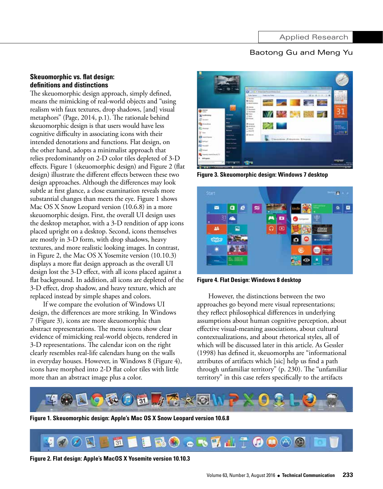#### **Skeuomorphic vs. flat design: definitions and distinctions**

The skeuomorphic design approach, simply defined, means the mimicking of real-world objects and "using realism with faux textures, drop shadows, [and] visual metaphors" (Page, 2014, p.1). The rationale behind skeuomorphic design is that users would have less cognitive difficulty in associating icons with their intended denotations and functions. Flat design, on the other hand, adopts a minimalist approach that relies predominantly on 2-D color tiles depleted of 3-D effects. Figure 1 (skeuomorphic design) and Figure 2 (flat design) illustrate the different effects between these two design approaches. Although the differences may look subtle at first glance, a close examination reveals more substantial changes than meets the eye. Figure 1 shows Mac OS X Snow Leopard version (10.6.8) in a more skeuomorphic design. First, the overall UI design uses the desktop metaphor, with a 3-D rendition of app icons placed upright on a desktop. Second, icons themselves are mostly in 3-D form, with drop shadows, heavy textures, and more realistic looking images. In contrast, in Figure 2, the Mac OS X Yosemite version (10.10.3) displays a more flat design approach as the overall UI design lost the 3-D effect, with all icons placed against a flat background. In addition, all icons are depleted of the 3-D effect, drop shadow, and heavy texture, which are replaced instead by simple shapes and colors.

 If we compare the evolution of Windows UI design, the differences are more striking. In Windows 7 (Figure 3), icons are more skeuomorphic than abstract representations. The menu icons show clear evidence of mimicking real-world objects, rendered in 3-D representations. The calendar icon on the right clearly resembles real-life calendars hung on the walls in everyday houses. However, in Windows 8 (Figure 4), icons have morphed into 2-D flat color tiles with little more than an abstract image plus a color.



**Figure 3. Skeuomorphic design: Windows 7 desktop**



**Figure 4. Flat Design: Windows 8 desktop**

However, the distinctions between the two approaches go beyond mere visual representations; they reflect philosophical differences in underlying assumptions about human cognitive perception, about effective visual-meaning associations, about cultural contextualizations, and about rhetorical styles, all of which will be discussed later in this article. As Gessler (1998) has defined it, skeuomorphs are "informational attributes of artifacts which [sic] help us find a path through unfamiliar territory" (p. 230). The "unfamiliar territory" in this case refers specifically to the artifacts



**Figure 1. Skeuomorphic design: Apple's Mac OS X Snow Leopard version 10.6.8** 



**Figure 2. Flat design: Apple's MacOS X Yosemite version 10.10.3**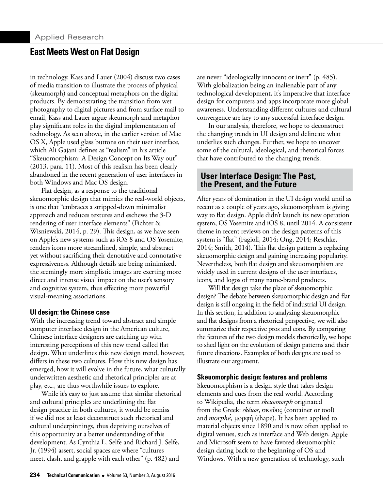in technology. Kass and Lauer (2004) discuss two cases of media transition to illustrate the process of physical (skeumorph) and conceptual metaphors on the digital products. By demonstrating the transition from wet photography to digital pictures and from surface mail to email, Kass and Lauer argue skeumorph and metaphor play significant roles in the digital implementation of technology. As seen above, in the earlier version of Mac OS X, Apple used glass buttons on their user interface, which Ali Gajani defines as "realism" in his article "Skeuomorphism: A Design Concept on Its Way out" (2013, para. 11). Most of this realism has been clearly abandoned in the recent generation of user interfaces in both Windows and Mac OS design.

Flat design, as a response to the traditional skeuomorphic design that mimics the real-world objects, is one that "embraces a stripped-down minimalist approach and reduces textures and eschews the 3-D rendering of user interface elements" (Fichter & Wisniewski, 2014, p. 29). This design, as we have seen on Apple's new systems such as iOS 8 and OS Yosemite, renders icons more streamlined, simple, and abstract yet without sacrificing their denotative and connotative expressiveness. Although details are being minimized, the seemingly more simplistic images are exerting more direct and intense visual impact on the user's sensory and cognitive system, thus effecting more powerful visual-meaning associations.

#### **UI design: the Chinese case**

With the increasing trend toward abstract and simple computer interface design in the American culture, Chinese interface designers are catching up with interesting perceptions of this new trend called flat design. What underlines this new design trend, however, differs in these two cultures. How this new design has emerged, how it will evolve in the future, what culturally underwritten aesthetic and rhetorical principles are at play, etc., are thus worthwhile issues to explore.

While it's easy to just assume that similar rhetorical and cultural principles are underlining the flat design practice in both cultures, it would be remiss if we did not at least deconstruct such rhetorical and cultural underpinnings, thus depriving ourselves of this opportunity at a better understanding of this development. As Cynthia L. Selfe and Richard J. Selfe, Jr. (1994) assert, social spaces are where "cultures meet, clash, and grapple with each other" (p. 482) and

are never "ideologically innocent or inert" (p. 485). With globalization being an inalienable part of any technological development, it's imperative that interface design for computers and apps incorporate more global awareness. Understanding different cultures and cultural convergence are key to any successful interface design.

In our analysis, therefore, we hope to deconstruct the changing trends in UI design and delineate what underlies such changes. Further, we hope to uncover some of the cultural, ideological, and rhetorical forces that have contributed to the changing trends.

### **User Interface Design: The Past, the Present, and the Future**

After years of domination in the UI design world until as recent as a couple of years ago, skeuomorphism is giving way to flat design. Apple didn't launch its new operation system, OS Yosemite and iOS 8, until 2014. A consistent theme in recent reviews on the design patterns of this system is "flat" (Fagioli, 2014; Ong, 2014; Reschke, 2014; Smith, 2014). This flat design pattern is replacing skeuomorphic design and gaining increasing popularity. Nevertheless, both flat design and skeuomorphism are widely used in current designs of the user interfaces, icons, and logos of many name-brand products.

Will flat design take the place of skeuomorphic design? The debate between skeuomorphic design and flat design is still ongoing in the field of industrial UI design. In this section, in addition to analyzing skeuomorphic and flat designs from a rhetorical perspective, we will also summarize their respective pros and cons. By comparing the features of the two design models rhetorically, we hope to shed light on the evolution of design patterns and their future directions. Examples of both designs are used to illustrate our argument.

#### **Skeuomorphic design: features and problems**

Skeuomorphism is a design style that takes design elements and cues from the real world. According to Wikipedia, the term *skeuomorph* originated from the [Greek](https://en.wikipedia.org/wiki/Greek_language): *skéuos*, σκεῦος (container or tool) and *morphḗ,* μορφή (shape). It has been applied to material objects since 1890 and is now often applied to digital venues, such as interface and Web design. Apple and Microsoft seem to have favored skeuomorphic design dating back to the beginning of OS and Windows. With a new generation of technology, such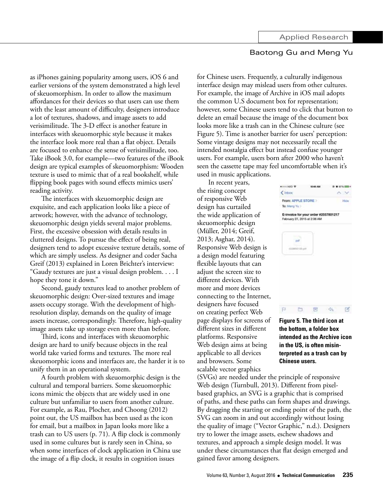as iPhones gaining popularity among users, iOS 6 and earlier versions of the system demonstrated a high level of skeuomorphism. In order to allow the maximum affordances for their devices so that users can use them with the least amount of difficulty, designers introduce a lot of textures, shadows, and image assets to add verisimilitude. The 3-D effect is another feature in interfaces with skeuomorphic style because it makes the interface look more real than a flat object. Details are focused to enhance the sense of verisimilitude, too. Take iBook 3.0, for example—two features of the iBook design are typical examples of skeuomorphism: Wooden texture is used to mimic that of a real bookshelf, while flipping book pages with sound effects mimics users' reading activity.

The interfaces with skeuomorphic design are exquisite, and each application looks like a piece of artwork; however, with the advance of technology, skeuomorphic design yields several major problems. First, the excessive obsession with details results in cluttered designs. To pursue the effect of being real, designers tend to adopt excessive texture details, some of which are simply useless. As designer and coder Sacha Greif (2013) explained in Loren Brichter's interview: "Gaudy textures are just a visual design problem. . . . I hope they tone it down."

Second, gaudy textures lead to another problem of skeuomorphic design: Over-sized textures and image assets occupy storage. With the development of highresolution display, demands on the quality of image assets increase, correspondingly. Therefore, high-quality image assets take up storage even more than before.

Third, icons and interfaces with skeuomorphic design are hard to unify because objects in the real world take varied forms and textures. The more real skeuomorphic icons and interfaces are, the harder it is to unify them in an operational system.

A fourth problem with skeuomorphic design is the cultural and temporal barriers. Some skeuomorphic icons mimic the objects that are widely used in one culture but unfamiliar to users from another culture. For example, as Rau, Plocher, and Choong (2012) point out, the US mailbox has been used as the icon for email, but a mailbox in Japan looks more like a trash can to US users (p. 71). A flip clock is commonly used in some cultures but is rarely seen in China, so when some interfaces of clock application in China use the image of a flip clock, it results in cognition issues

for Chinese users. Frequently, a culturally indigenous interface design may mislead users from other cultures. For example, the image of Archive in iOS mail adopts the common U.S document box for representation; however, some Chinese users tend to click that button to delete an email because the image of the document box looks more like a trash can in the Chinese culture (see Figure 5). Time is another barrier for users' perception: Some vintage designs may not necessarily recall the intended nostalgia effect but instead confuse younger users. For example, users born after 2000 who haven't seen the cassette tape may feel uncomfortable when it's used in music applications.

In recent years, the rising concept of responsive Web design has curtailed the wide application of skeuomorphic design (Müller, 2014; Greif, 2013; Asghar, 2014). Responsive Web design is a design model featuring flexible layouts that can adjust the screen size to different devices. With more and more devices connecting to the Internet, designers have focused on creating perfect Web page displays for screens of different sizes in different platforms. Responsive Web design aims at being applicable to all devices and browsers. Some scalable vector graphics



**Figure 5. The third icon at the bottom, a folder box intended as the Archive icon in the US, is often misinterpreted as a trash can by Chinese users.**

(SVGs) are needed under the principle of responsive Web design (Turnbull, 2013). Different from pixelbased graphics, an SVG is a graphic that is comprised of paths, and these paths can form shapes and drawings. By dragging the starting or ending point of the path, the SVG can zoom in and out accordingly without losing the quality of image ("Vector Graphic," n.d.). Designers try to lower the image assets, eschew shadows and textures, and approach a simple design model. It was under these circumstances that flat design emerged and gained favor among designers.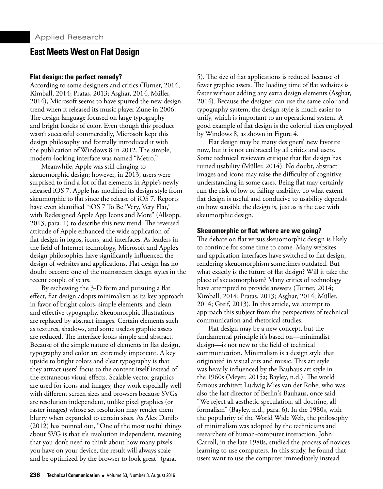#### **Flat design: the perfect remedy?**

According to some designers and critics (Turner, 2014; Kimball, 2014; Pratas, 2013; Asghar, 2014; Müller, 2014), Microsoft seems to have spurred the new design trend when it released its music player Zune in 2006. The design language focused on large typography and bright blocks of color. Even though this product wasn't successful commercially, Microsoft kept this design philosophy and formally introduced it with the publication of Windows 8 in 2012. The simple, modern-looking interface was named "Metro."

Meanwhile, Apple was still clinging to skeuomorphic design; however, in 2013, users were surprised to find a lot of flat elements in Apple's newly released iOS 7. Apple has modified its design style from skeumorphic to flat since the release of iOS 7. Reports have even identified "iOS 7 To Be 'Very, Very Flat,' with Redesigned Apple App Icons and More" (Allsopp, 2013, para. 1) to describe this new trend. The reversed attitude of Apple enhanced the wide application of flat design in logos, icons, and interfaces. As leaders in the field of Internet technology, Microsoft and Apple's design philosophies have significantly influenced the design of websites and applications. Flat design has no doubt become one of the mainstream design styles in the recent couple of years.

By eschewing the 3-D form and pursuing a flat effect, flat design adopts minimalism as its key approach in favor of bright colors, simple elements, and clean and effective typography. Skeuomorphic illustrations are replaced by abstract images. Certain elements such as textures, shadows, and some useless graphic assets are reduced. The interface looks simple and abstract. Because of the simple nature of elements in flat design, typography and color are extremely important. A key upside to bright colors and clear typography is that they attract users' focus to the content itself instead of the extraneous visual effects. Scalable vector graphics are used for icons and images; they work especially well with different screen sizes and browsers because SVGs are resolution independent, unlike pixel graphics (or raster images) whose set resolution may render them blurry when expanded to certain sizes. As Alex Danilo (2012) has pointed out, "One of the most useful things about SVG is that it's resolution independent, meaning that you don't need to think about how many pixels you have on your device, the result will always scale and be optimized by the browser to look great" (para.

5). The size of flat applications is reduced because of fewer graphic assets. The loading time of flat websites is faster without adding any extra design elements (Asghar, 2014). Because the designer can use the same color and typography system, the design style is much easier to unify, which is important to an operational system. A good example of flat design is the colorful tiles employed by Windows 8, as shown in Figure 4.

Flat design may be many designers' new favorite now, but it is not embraced by all critics and users. Some technical reviewers critique that flat design has ruined usability (Müller, 2014). No doubt, abstract images and icons may raise the difficulty of cognitive understanding in some cases. Being flat may certainly run the risk of low or failing usability. To what extent flat design is useful and conducive to usability depends on how sensible the design is, just as is the case with skeumorphic design.

#### **Skeuomorphic or flat: where are we going?**

The debate on flat versus skeuomorphic design is likely to continue for some time to come. Many websites and application interfaces have switched to flat design, rendering skeuomorphism sometimes outdated. But what exactly is the future of flat design? Will it take the place of skeuomorphism? Many critics of technology have attempted to provide answers (Turner, 2014; Kimball, 2014; Pratas, 2013; Asghar, 2014; Müller, 2014; Greif, 2013). In this article, we attempt to approach this subject from the perspectives of technical communication and rhetorical studies.

Flat design may be a new concept, but the fundamental principle it's based on—minimalist design—is not new to the field of technical communication. Minimalism is a design style that originated in visual arts and music. This art style was heavily influenced by the Bauhaus art style in the 1960s (Meyer, 2015a; Bayley, n.d.). The world famous architect Ludwig Mies van der Rohe, who was also the last director of Berlin's Bauhaus, once said: "We reject all aesthetic speculation, all doctrine, all formalism" (Bayley, n.d., para. 6). In the 1980s, with the popularity of the World Wide Web, the philosophy of minimalism was adopted by the technicians and researchers of human-computer interaction. John Carroll, in the late 1980s, studied the process of novices learning to use computers. In this study, he found that users want to use the computer immediately instead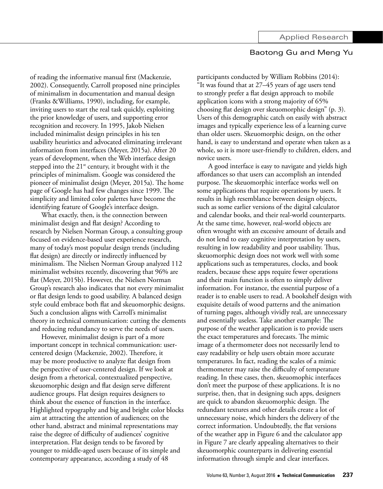of reading the informative manual first (Mackenzie, 2002). Consequently, Carroll proposed nine principles of minimalism in documentation and manual design (Franks &Williams, 1990), including, for example, inviting users to start the real task quickly, exploiting the prior knowledge of users, and supporting error recognition and recovery. In 1995, Jakob Nielsen included minimalist design principles in his ten usability heuristics and advocated eliminating irrelevant information from interfaces (Meyer, 2015a). After 20 years of development, when the Web interface design stepped into the  $21<sup>st</sup>$  century, it brought with it the principles of minimalism. Google was considered the pioneer of minimalist design (Meyer, 2015a). The home page of Google has had few changes since 1999. The simplicity and limited color palettes have become the identifying feature of Google's interface design.

What exactly, then, is the connection between minimalist design and flat design? According to research by Nielsen Norman Group, a consulting group focused on evidence-based user experience research, many of today's most popular design trends (including flat design) are directly or indirectly influenced by minimalism. The Nielsen Norman Group analyzed 112 minimalist websites recently, discovering that 96% are flat (Meyer, 2015b). However, the Nielsen Norman Group's research also indicates that not every minimalist or flat design lends to good usability. A balanced design style could embrace both flat and skeuomorphic designs. Such a conclusion aligns with Carroll's minimalist theory in technical communication: cutting the elements and reducing redundancy to serve the needs of users.

However, minimalist design is part of a more important concept in technical communication: usercentered design (Mackenzie, 2002). Therefore, it may be more productive to analyze flat design from the perspective of user-centered design. If we look at design from a rhetorical, contextualized perspective, skeuomorphic design and flat design serve different audience groups. Flat design requires designers to think about the essence of function in the interface. Highlighted typography and big and bright color blocks aim at attracting the attention of audiences; on the other hand, abstract and minimal representations may raise the degree of difficulty of audiences' cognitive interpretation. Flat design tends to be favored by younger to middle-aged users because of its simple and contemporary appearance, according a study of 48

participants conducted by William Robbins (2014): "It was found that at 27–45 years of age users tend to strongly prefer a flat design approach to mobile application icons with a strong majority of 65% choosing flat design over skeuomorphic design" (p. 3). Users of this demographic catch on easily with abstract images and typically experience less of a learning curve than older users. Skeuomorphic design, on the other hand, is easy to understand and operate when taken as a whole, so it is more user-friendly to children, elders, and novice users.

A good interface is easy to navigate and yields high affordances so that users can accomplish an intended purpose. The skeuomorphic interface works well on some applications that require operations by users. It results in high resemblance between design objects, such as some earlier versions of the digital calculator and calendar books, and their real-world counterparts. At the same time, however, real-world objects are often wrought with an excessive amount of details and do not lend to easy cognitive interpretation by users, resulting in low readability and poor usability. Thus, skeuomorphic design does not work well with some applications such as temperatures, clocks, and book readers, because these apps require fewer operations and their main function is often to simply deliver information. For instance, the essential purpose of a reader is to enable users to read. A bookshelf design with exquisite details of wood patterns and the animation of turning pages, although vividly real, are unnecessary and essentially useless. Take another example: The purpose of the weather application is to provide users the exact temperatures and forecasts. The mimic image of a thermometer does not necessarily lend to easy readability or help users obtain more accurate temperatures. In fact, reading the scales of a mimic thermometer may raise the difficulty of temperature reading. In these cases, then, skeuomophic interfaces don't meet the purpose of these applications. It is no surprise, then, that in designing such apps, designers are quick to abandon skeuomorphic design. The redundant textures and other details create a lot of unnecessary noise, which hinders the delivery of the correct information. Undoubtedly, the flat versions of the weather app in Figure 6 and the calculator app in Figure 7 are clearly appealing alternatives to their skeuomorphic counterparts in delivering essential information through simple and clear interfaces.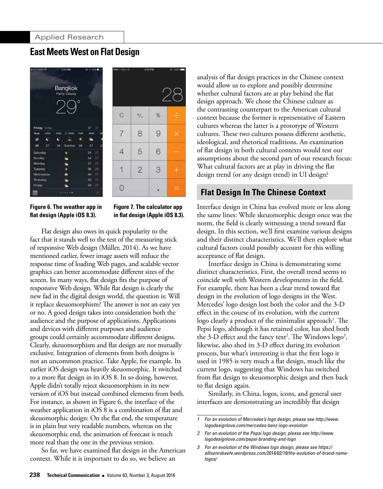



**Figure 6. The weather app in flat design (Apple iOS 8.3).** 

**Figure 7. The calculator app in flat design (Apple iOS 8.3).**

Flat design also owes its quick popularity to the fact that it stands well to the test of the measuring stick of responsive Web design (Müller, 2014). As we have mentioned earlier, fewer image assets will reduce the response time of loading Web pages, and scalable vector graphics can better accommodate different sizes of the screen. In many ways, flat design fits the purpose of responsive Web design. While flat design is clearly the new fad in the digital design world, the question is: Will it replace skeuomorphism? The answer is not an easy yes or no. A good design takes into consideration both the audience and the purpose of applications. Applications and devices with different purposes and audience groups could certainly accommodate different designs. Clearly, skeuomorphism and flat design are not mutually exclusive. Integration of elements from both designs is not an uncommon practice. Take Apple, for example. Its earlier iOS design was heavily skeuomorphic. It switched to a more flat design in its iOS 8. In so doing, however, Apple didn't totally reject skeuomorphism in its new version of iOS but instead combined elements from both. For instance, as shown in Figure 6, the interface of the weather application in iOS 8 is a combination of flat and skeuomorphic design: On the flat end, the temperature is in plain but very readable numbers, whereas on the skeuomorphic end, the animation of forecast is much more real than the one in the previous version.

So far, we have examined flat design in the American context. While it is important to do so, we believe an

analysis of flat design practices in the Chinese context would allow us to explore and possibly determine whether cultural factors are at play behind the flat design approach. We chose the Chinese culture as the contrasting counterpart to the American cultural context because the former is representative of Eastern cultures whereas the latter is a prototype of Western cultures. These two cultures possess different aesthetic, ideological, and rhetorical traditions. An examination of flat design in both cultural contexts would test our assumptions about the second part of our research focus: What cultural factors are at play in driving the flat design trend (or any design trend) in UI design?

# **Flat Design In The Chinese Context**

Interface design in China has evolved more or less along the same lines: While skeuomorphic design once was the norm, the field is clearly witnessing a trend toward flat design. In this section, we'll first examine various designs and their distinct characteristics. We'll then explore what cultural factors could possibly account for this willing acceptance of flat design.

Interface design in China is demonstrating some distinct characteristics. First, the overall trend seems to coincide well with Western developments in the field. For example, there has been a clear trend toward flat design in the evolution of logo designs in the West. Mercedes' logo design lost both the color and the 3-D effect in the course of its evolution, with the current  $\log$ o clearly a product of the minimalist approach $^1$ . The Pepsi logo, although it has retained color, has shed both the 3-D effect and the fancy text<sup>2</sup>. The Windows  $\log$ <sup>3</sup>, likewise, also shed its 3-D effect during its evolution process, but what's interesting is that the first logo it used in 1985 is very much a flat design, much like the current logo, suggesting that Windows has switched from flat design to skeuomorphic design and then back to flat design again.

Similarly, in China, logos, icons, and general user interfaces are demonstrating an incredibly flat design

*<sup>1</sup> [For an evolution of Mercedes's logo design, please see http://www.](http://www.logodesignlove.com/mercedes-benz-logo-evolution) logodesignlove.com/mercedes-benz-logo-evolution*

*<sup>2</sup> [For an evolution of the Pepsi logo design, please see http://www.](http://www.logodesignlove.com/pepsi-branding-and-logo) logodesignlove.com/pepsi-branding-and-logo*

*<sup>3</sup> For an evolution of the Windows logo design, please see https:// [allisonrokeefe.wordpress.com/2014/02/19/the-evolution-of-brand-name](https://allisonrokeefe.wordpress.com/2014/02/19/the-evolution-of-brand-namelogos/)logos/*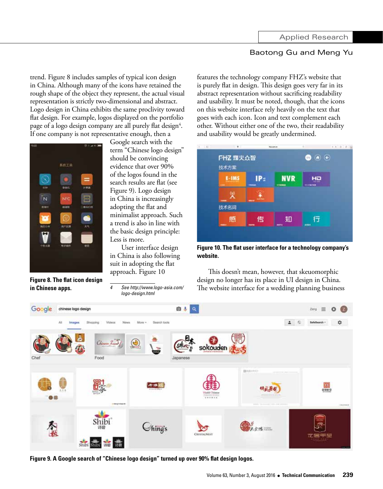trend. Figure 8 includes samples of typical icon design in China. Although many of the icons have retained the rough shape of the object they represent, the actual visual representation is strictly two-dimensional and abstract. Logo design in China exhibits the same proclivity toward flat design. For example, logos displayed on the portfolio page of a logo design company are all purely flat design $^4$ . If one company is not representative enough, then a



**Figure 8. The flat icon design in Chinese apps.**

Google search with the term "Chinese logo design" should be convincing evidence that over 90% of the logos found in the search results are flat (see Figure 9). Logo design in China is increasingly adopting the flat and minimalist approach. Such a trend is also in line with the basic design principle: Less is more.

User interface design in China is also following suit in adopting the flat approach. Figure 10

*4 [See http://www.logo-asia.com/](http://www.logo-asia.com/logo-design.html) logo-design.html*

features the technology company FHZ's website that is purely flat in design. This design goes very far in its abstract representation without sacrificing readability and usability. It must be noted, though, that the icons on this website interface rely heavily on the text that goes with each icon. Icon and text complement each other. Without either one of the two, their readability and usability would be greatly undermined.



**Figure 10. The flat user interface for a technology company's website.**

This doesn't mean, however, that skeuomorphic design no longer has its place in UI design in China. The website interface for a wedding planning business



**Figure 9. A Google search of "Chinese logo design" turned up over 90% flat design logos.**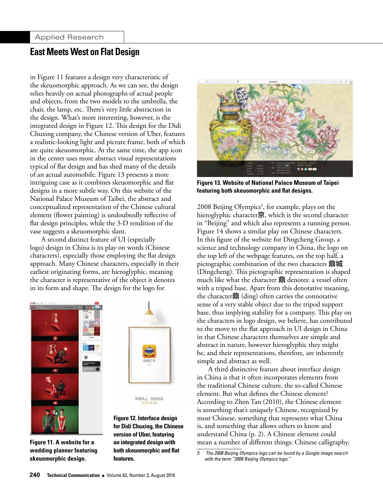in Figure 11 features a design very characteristic of the skeuomorphic approach. As we can see, the design relies heavily on actual photographs of actual people and objects, from the two models to the umbrella, the chair, the lamp, etc. There's very little abstraction in the design. What's more interesting, however, is the integrated design in Figure 12. This design for the Didi Chuxing company, the Chinese version of Uber, features a realistic-looking light and picture frame, both of which are quite skeuomorphic. At the same time, the app icon in the center uses more abstract visual representations typical of flat design and has shed many of the details of an actual automobile. Figure 13 presents a more intriguing case as it combines skeuomorphic and flat designs in a more subtle way. On this website of the National Palace Museum of Taibei, the abstract and conceptualized representation of the Chinese cultural element (flower painting) is undoubtedly reflective of flat design principles, while the 3-D rendition of the vase suggests a skeuomorphic slant.

A second distinct feature of UI (especially logo) design in China is its play on words (Chinese characters), especially those employing the flat design approach. Many Chinese characters, especially in their earliest originating forms, are hieroglyphic, meaning the character is representative of the object it denotes in its form and shape. The design for the logo for





多型马上,到你身边

**Figure 11. A website for a wedding planner featuring skeuomorphic design.**





**Figure 13. Website of National Palace Museum of Taipei featuring both skeuomorphic and flat designs.**

2008 Beijing Olympics<sup>5</sup>, for example, plays on the hieroglyphic character京, which is the second character in "Beijing" and which also represents a running person. Figure 14 shows a similar play on Chinese characters. In this figure of the website for Dingcheng Group, a science and technology company in China, the logo on the top left of the webpage features, on the top half, a pictographic combination of the two characters **鼎城** (Dingcheng). This pictographic representation is shaped much like what the character 鼎 denotes: a vessel often with a tripod base. Apart from this denotative meaning, the character鼎 (ding) often carries the connotative sense of a very stable object due to the tripod support base, thus implying stability for a company. This play on the characters in logo design, we believe, has contributed to the move to the flat approach in UI design in China in that Chinese characters themselves are simple and abstract in nature, however hieroglyphic they might be, and their representations, therefore, are inherently simple and abstract as well.

A third distinctive feature about interface design in China is that it often incorporates elements from the traditional Chinese culture, the so-called Chinese element. But what defines the Chinese element? According to Zhen Tan (2010), the Chinese element is something that's uniquely Chinese, recognized by most Chinese, something that represents what China is, and something that allows others to know and understand China (p. 2). A Chinese element could mean a number of different things: Chinese calligraphy,

*<sup>5</sup> The 2008 Beijing Olympics logo can be found by a Google image search with the term "2008 Beijing Olympics logo."*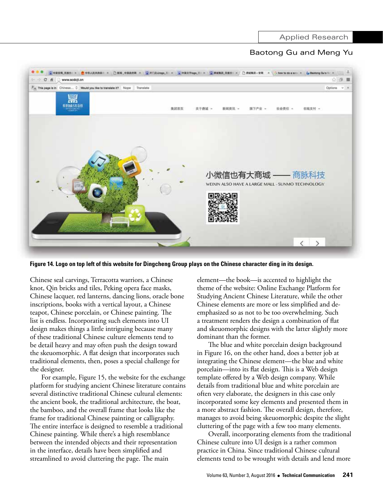

**Figure 14. Logo on top left of this website for Dingcheng Group plays on the Chinese character ding in its design.**

Chinese seal carvings, Terracotta warriors, a Chinese knot, Qin bricks and tiles, Peking opera face masks, Chinese lacquer, red lanterns, dancing lions, oracle bone inscriptions, books with a vertical layout, a Chinese teapot, Chinese porcelain, or Chinese painting. The list is endless. Incorporating such elements into UI design makes things a little intriguing because many of these traditional Chinese culture elements tend to be detail heavy and may often push the design toward the skeuomorphic. A flat design that incorporates such traditional elements, then, poses a special challenge for the designer.

For example, Figure 15, the website for the exchange platform for studying ancient Chinese literature contains several distinctive traditional Chinese cultural elements: the ancient book, the traditional architecture, the boat, the bamboo, and the overall frame that looks like the frame for traditional Chinese painting or calligraphy. The entire interface is designed to resemble a traditional Chinese painting. While there's a high resemblance between the intended objects and their representation in the interface, details have been simplified and streamlined to avoid cluttering the page. The main

element—the book—is accented to highlight the theme of the website: Online Exchange Platform for Studying Ancient Chinese Literature, while the other Chinese elements are more or less simplified and deemphasized so as not to be too overwhelming. Such a treatment renders the design a combination of flat and skeuomorphic designs with the latter slightly more dominant than the former.

The blue and white porcelain design background in Figure 16, on the other hand, does a better job at integrating the Chinese element—the blue and white porcelain—into its flat design. This is a Web design template offered by a Web design company. While details from traditional blue and white porcelain are often very elaborate, the designers in this case only incorporated some key elements and presented them in a more abstract fashion. The overall design, therefore, manages to avoid being skeuomorphic despite the slight cluttering of the page with a few too many elements.

Overall, incorporating elements from the traditional Chinese culture into UI design is a rather common practice in China. Since traditional Chinese cultural elements tend to be wrought with details and lend more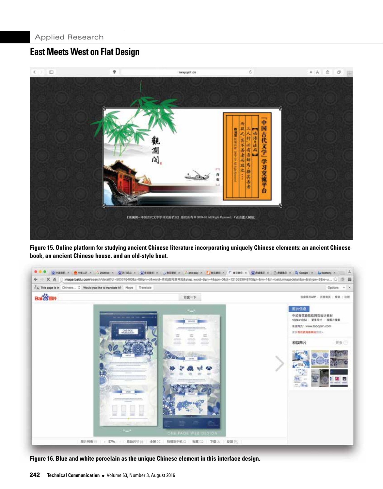

**Figure 15. Online platform for studying ancient Chinese literature incorporating uniquely Chinese elements: an ancient Chinese book, an ancient Chinese house, and an old-style boat.**



**Figure 16. Blue and white porcelain as the unique Chinese element in this interface design.**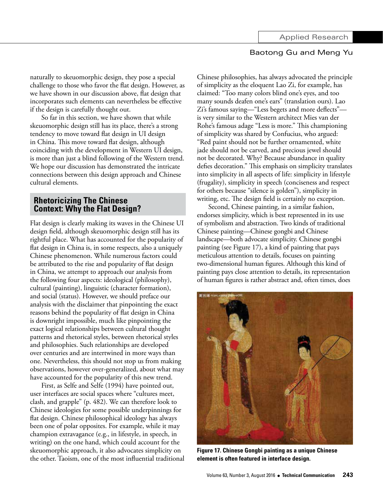naturally to skeuomorphic design, they pose a special challenge to those who favor the flat design. However, as we have shown in our discussion above, flat design that incorporates such elements can nevertheless be effective if the design is carefully thought out.

So far in this section, we have shown that while skeuomorphic design still has its place, there's a strong tendency to move toward flat design in UI design in China. This move toward flat design, although coinciding with the development in Western UI design, is more than just a blind following of the Western trend. We hope our discussion has demonstrated the intricate connections between this design approach and Chinese cultural elements.

## **Rhetoricizing The Chinese Context: Why the Flat Design?**

Flat design is clearly making its waves in the Chinese UI design field, although skeuomorphic design still has its rightful place. What has accounted for the popularity of flat design in China is, in some respects, also a uniquely Chinese phenomenon. While numerous factors could be attributed to the rise and popularity of flat design in China, we attempt to approach our analysis from the following four aspects: ideological (philosophy), cultural (painting), linguistic (character formation), and social (status). However, we should preface our analysis with the disclaimer that pinpointing the exact reasons behind the popularity of flat design in China is downright impossible, much like pinpointing the exact logical relationships between cultural thought patterns and rhetorical styles, between rhetorical styles and philosophies. Such relationships are developed over centuries and are intertwined in more ways than one. Nevertheless, this should not stop us from making observations, however over-generalized, about what may have accounted for the popularity of this new trend.

First, as Selfe and Selfe (1994) have pointed out, user interfaces are social spaces where "cultures meet, clash, and grapple" (p. 482). We can therefore look to Chinese ideologies for some possible underpinnings for flat design. Chinese philosophical ideology has always been one of polar opposites. For example, while it may champion extravagance (e.g., in lifestyle, in speech, in writing) on the one hand, which could account for the skeuomorphic approach, it also advocates simplicity on the other. Taoism, one of the most influential traditional Chinese philosophies, has always advocated the principle of simplicity as the eloquent Lao Zi, for example, has claimed: "Too many colors blind one's eyes, and too many sounds deafen one's ears" (translation ours). Lao Zi's famous saying—"Less begets and more deflects" is very similar to the Western architect Mies van der Rohe's famous adage "Less is more." This championing of simplicity was shared by Confucius, who argued: "Red paint should not be further ornamented, white jade should not be carved, and precious jewel should not be decorated. Why? Because abundance in quality defies decoration." This emphasis on simplicity translates into simplicity in all aspects of life: simplicity in lifestyle (frugality), simplicity in speech (conciseness and respect for others because "silence is golden"), simplicity in writing, etc. The design field is certainly no exception.

Second, Chinese painting, in a similar fashion, endorses simplicity, which is best represented in its use of symbolism and abstraction. Two kinds of traditional Chinese painting—Chinese gongbi and Chinese landscape—both advocate simplicity. Chinese gongbi painting (see Figure 17), a kind of painting that pays meticulous attention to details, focuses on painting two-dimensional human figures. Although this kind of painting pays close attention to details, its representation of human figures is rather abstract and, often times, does



**Figure 17. Chinese Gongbi painting as a unique Chinese element is often featured in interface design.**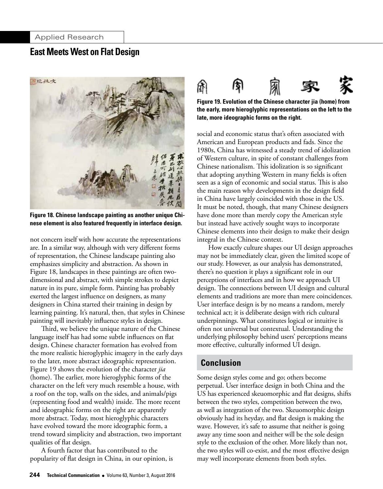

**Figure 18. Chinese landscape painting as another unique Chinese element is also featured frequently in interface design.**

not concern itself with how accurate the representations are. In a similar way, although with very different forms of representation, the Chinese landscape painting also emphasizes simplicity and abstraction. As shown in Figure 18, landscapes in these paintings are often twodimensional and abstract, with simple strokes to depict nature in its pure, simple form. Painting has probably exerted the largest influence on designers, as many designers in China started their training in design by learning painting. It's natural, then, that styles in Chinese painting will inevitably influence styles in design.

Third, we believe the unique nature of the Chinese language itself has had some subtle influences on flat design. Chinese character formation has evolved from the more realistic hieroglyphic imagery in the early days to the later, more abstract ideographic representation. Figure 19 shows the evolution of the character *jia* (home). The earlier, more hieroglyphic forms of the character on the left very much resemble a house, with a roof on the top, walls on the sides, and animals/pigs (representing food and wealth) inside. The more recent and ideographic forms on the right are apparently more abstract. Today, most hieroglyphic characters have evolved toward the more ideographic form, a trend toward simplicity and abstraction, two important qualities of flat design.

A fourth factor that has contributed to the popularity of flat design in China, in our opinion, is

**244 Technical Communication •** Volume 63, Number 3, August 2016



**Figure 19. Evolution of the Chinese character jia (home) from the early, more hieroglyphic representations on the left to the late, more ideographic forms on the right.**

social and economic status that's often associated with American and European products and fads. Since the 1980s, China has witnessed a steady trend of idolization of Western culture, in spite of constant challenges from Chinese nationalism. This idolization is so significant that adopting anything Western in many fields is often seen as a sign of economic and social status. This is also the main reason why developments in the design field in China have largely coincided with those in the US. It must be noted, though, that many Chinese designers have done more than merely copy the American style but instead have actively sought ways to incorporate Chinese elements into their design to make their design integral in the Chinese context.

How exactly culture shapes our UI design approaches may not be immediately clear, given the limited scope of our study. However, as our analysis has demonstrated, there's no question it plays a significant role in our perceptions of interfaces and in how we approach UI design. The connections between UI design and cultural elements and traditions are more than mere coincidences. User interface design is by no means a random, merely technical act; it is deliberate design with rich cultural underpinnings. What constitutes logical or intuitive is often not universal but contextual. Understanding the underlying philosophy behind users' perceptions means more effective, culturally informed UI design.

## **Conclusion**

Some design styles come and go; others become perpetual. User interface design in both China and the US has experienced skeuomorphic and flat designs, shifts between the two styles, competition between the two, as well as integration of the two. Skeuomorphic design obviously had its heyday, and flat design is making the wave. However, it's safe to assume that neither is going away any time soon and neither will be the sole design style to the exclusion of the other. More likely than not, the two styles will co-exist, and the most effective design may well incorporate elements from both styles.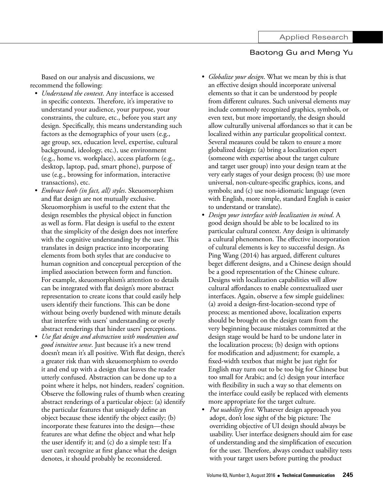Based on our analysis and discussions, we recommend the following:

- *• Understand the context*. Any interface is accessed in specific contexts. Therefore, it's imperative to understand your audience, your purpose, your constraints, the culture, etc., before you start any design. Specifically, this means understanding such factors as the demographics of your users (e.g., age group, sex, education level, expertise, cultural background, ideology, etc.), use environment (e.g., home vs. workplace), access platform (e.g., desktop, laptop, pad, smart phone), purpose of use (e.g., browsing for information, interactive transactions), etc.
- *• Embrace both (in fact, all) styles*. Skeuomorphism and flat design are not mutually exclusive. Skeuomorphism is useful to the extent that the design resembles the physical object in function as well as form. Flat design is useful to the extent that the simplicity of the design does not interfere with the cognitive understanding by the user. This translates in design practice into incorporating elements from both styles that are conducive to human cognition and conceptual perception of the implied association between form and function. For example, skeuomorphism's attention to details can be integrated with flat design's more abstract representation to create icons that could easily help users identify their functions. This can be done without being overly burdened with minute details that interfere with users' understanding or overly abstract renderings that hinder users' perceptions.
- *• Use flat design and abstraction with moderation and good intuitive sense*. Just because it's a new trend doesn't mean it's all positive. With flat design, there's a greater risk than with skeuomorphism to overdo it and end up with a design that leaves the reader utterly confused. Abstraction can be done up to a point where it helps, not hinders, readers' cognition. Observe the following rules of thumb when creating abstract renderings of a particular object: (a) identify the particular features that uniquely define an object because these identify the object easily; (b) incorporate these features into the design—these features are what define the object and what help the user identify it; and (c) do a simple test: If a user can't recognize at first glance what the design denotes, it should probably be reconsidered.
- *• Globalize your design*. What we mean by this is that an effective design should incorporate universal elements so that it can be understood by people from different cultures. Such universal elements may include commonly recognized graphics, symbols, or even text, but more importantly, the design should allow culturally universal affordances so that it can be localized within any particular geopolitical context. Several measures could be taken to ensure a more globalized design: (a) bring a localization expert (someone with expertise about the target culture and target user group) into your design team at the very early stages of your design process; (b) use more universal, non-culture-specific graphics, icons, and symbols; and (c) use non-idiomatic language (even with English, more simple, standard English is easier to understand or translate).
- *• Design your interface with localization in mind*. A good design should be able to be localized to its particular cultural context. Any design is ultimately a cultural phenomenon. The effective incorporation of cultural elements is key to successful design. As Ping Wang (2014) has argued, different cultures beget different designs, and a Chinese design should be a good representation of the Chinese culture. Designs with localization capabilities will allow cultural affordances to enable contextualized user interfaces. Again, observe a few simple guidelines: (a) avoid a design-first-location-second type of process; as mentioned above, localization experts should be brought on the design team from the very beginning because mistakes committed at the design stage would be hard to be undone later in the localization process; (b) design with options for modification and adjustment; for example, a fixed-width textbox that might be just right for English may turn out to be too big for Chinese but too small for Arabic; and (c) design your interface with flexibility in such a way so that elements on the interface could easily be replaced with elements more appropriate for the target culture.
- *• Put usability first.* Whatever design approach you adopt, don't lose sight of the big picture: The overriding objective of UI design should always be usability. User interface designers should aim for ease of understanding and the simplification of execution for the user. Therefore, always conduct usability tests with your target users before putting the product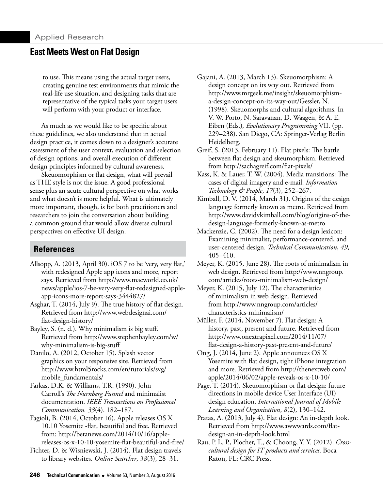to use. This means using the actual target users, creating genuine test environments that mimic the real-life use situation, and designing tasks that are representative of the typical tasks your target users will perform with your product or interface.

As much as we would like to be specific about these guidelines, we also understand that in actual design practice, it comes down to a designer's accurate assessment of the user context, evaluation and selection of design options, and overall execution of different design principles informed by cultural awareness.

Skeuomorphism or flat design, what will prevail as THE style is not the issue. A good professional sense plus an acute cultural perspective on what works and what doesn't is more helpful. What is ultimately more important, though, is for both practitioners and researchers to join the conversation about building a common ground that would allow diverse cultural perspectives on effective UI design.

# **References**

Allsopp, A. (2013, April 30). iOS 7 to be 'very, very flat,' with redesigned Apple app icons and more, report says. Retrieved from http://www.macworld.co.uk/ news/apple/ios-7-be-very-very-flat-redesigned-appleapp-icons-more-report-says-3444827/

Asghar, T. (2014, July 9). The true history of flat design. Retrieved from [http://www.webdesignai.com/](http://www.webdesignai.com/flat-design-history/) [flat-design-history/](http://www.webdesignai.com/flat-design-history/)

Bayley, S. (n. d.). Why minimalism is big stuff. [Retrieved from http://www.stephenbayley.com/w/](http://www.stephenbayley.com/w/why-minimalism-is-big-stuff) why-minimalism-is-big-stuff

Danilo, A. (2012, October 15). Splash vector graphics on your responsive site. Retrieved from [http://www.html5rocks.com/en/tutorials/svg/](http://www.html5rocks.com/en/tutorials/svg/mobile_fundamentals/) mobile\_fundamentals/

Farkas, D.K. & Williams, T.R. (1990). John Carroll's *The Nurnberg Funnel* and minimalist documentation. *IEEE Transactions on Professional Communication. 33*(4). 182–187.

Fagioli, B. (2014, October 16). Apple releases OS X 10.10 Yosemite -flat, beautiful and free. Retrieved from: http://betanews.com/2014/10/16/applereleases-os-x-10-10-yosemite-flat-beautiful-and-free/

Fichter, D. & Wisniewski, J. (2014). Flat design travels to library websites. *Online Searcher*, *38*(3), 28–31.

Gajani, A. (2013, March 13). Skeuomorphism: A design concept on its way out. Retrieved from [http://www.mrgeek.me/insight/skeuomorphism](http://www.mrgeek.me/insight/skeuomorphism-a-design-concept-on-its-way-out/)[a-design-concept-on-its-way-out/G](http://www.mrgeek.me/insight/skeuomorphism-a-design-concept-on-its-way-out/)essler, N. (1998). Skeuomorphs and cultural algorithms. In V. W. Porto, N. Saravanan, D. Waagen, & A. E. Eiben (Eds.)*, Evolutionary Programming* VII. (pp. 229–238). San Diego, CA: Springer-Verlag Berlin Heidelberg.

Greif, S. (2013, February 11). Flat pixels: The battle between flat design and skeumorphism. Retrieved from http://sachagreif.com/flat-pixels/

Kass, K. & Lauer, T. W. (2004). Media transitions: The cases of digital imagery and e-mail. *Information Technology & People*, *17*(3), 252–267.

Kimball, D. V. (2014, March 31). Origins of the design language formerly known as metro. Retrieved from http://www.davidvkimball.com/blog/origins-of-thedesign-language-formerly-known-as-metro

Mackenzie, C. (2002). The need for a design lexicon: Examining minimalist, performance-centered, and user-centered design. *Technical Communication*, *49*, 405–410.

Meyer, K. (2015, June 28). The roots of minimalism in web design. Retrieved from [http://www.nngroup.](http://www.nngroup.com/articles/roots-minimalism-web-design/) [com/articles/roots-minimalism-web-design/](http://www.nngroup.com/articles/roots-minimalism-web-design/)

Meyer, K. (2015, July 12). The characteristics of minimalism in web design. Retrieved [from http://www.nngroup.com/articles/](http://www.nngroup.com/articles/characteristics-minimalism/) characteristics-minimalism/

Müller, F. (2014, November 7). Flat design: A history, past, present and future. Retrieved from http://www.onextrapixel.com/2014/11/07/ [flat-design-a-history-past-present-and-future/](http://www.onextrapixel.com/2014/11/07/flat-design-a-history-past-present-and-future/)

Ong, J. (2014, June 2). Apple announces OS X Yosemite with flat design, tight iPhone integration [and more. Retrieved from http://thenextweb.com/](http://thenextweb.com/apple/2014/06/02/apple-reveals-os-x-10-10/) apple/2014/06/02/apple-reveals-os-x-10-10/

Page, T. (2014). Skeuomorphism or flat design: future directions in mobile device User Interface (UI) design education. *International Journal of Mobile Learning and Organisation*, *8*(2), 130–142.

Pratas, A. (2013, July 4). Flat design: An in-depth look. Retrieved from http://www.awwwards.com/flatdesign-an-in-depth-look.html

Rau, P. L. P., Plocher, T., & Choong, Y. Y. (2012). *Crosscultural design for IT products and services*. Boca Raton, FL: CRC Press.